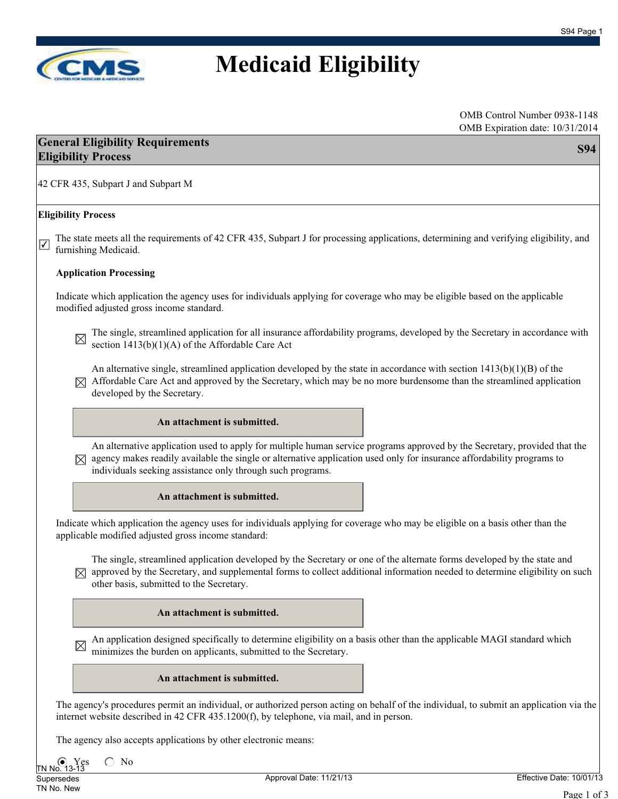

# **Medicaid Eligibility**

### **General Eligibility Requirements Eligibility Process S94**

42 CFR 435, Subpart J and Subpart M

#### **Eligibility Process**

The state meets all the requirements of 42 CFR 435, Subpart J for processing applications, determining and verifying eligibility, and  $\triangledown$  furnishing Medicaid.

#### **Application Processing**

Indicate which application the agency uses for individuals applying for coverage who may be eligible based on the applicable modified adjusted gross income standard.

The single, streamlined application for all insurance affordability programs, developed by the Secretary in accordance with section 1413(b)(1)(A) of the Affordable Care Act

An alternative single, streamlined application developed by the state in accordance with section  $1413(b)(1)(B)$  of the  $\boxtimes$  Affordable Care Act and approved by the Secretary, which may be no more burdensome than the streamlined application developed by the Secretary.

### **An attachment is submitted.**

An alternative application used to apply for multiple human service programs approved by the Secretary, provided that the  $[\times]$  agency makes readily available the single or alternative application used only for insurance affordability programs to individuals seeking assistance only through such programs.

### **An attachment is submitted.**

Indicate which application the agency uses for individuals applying for coverage who may be eligible on a basis other than the applicable modified adjusted gross income standard:

The single, streamlined application developed by the Secretary or one of the alternate forms developed by the state and  $\boxtimes$  approved by the Secretary, and supplemental forms to collect additional information needed to determine eligibility on such other basis, submitted to the Secretary.

### **An attachment is submitted.**

An application designed specifically to determine eligibility on a basis other than the applicable MAGI standard which minimizes the burden on applicants, submitted to the Secretary.

#### **An attachment is submitted.**

The agency's procedures permit an individual, or authorized person acting on behalf of the individual, to submit an application via the internet website described in 42 CFR 435.1200(f), by telephone, via mail, and in person.

The agency also accepts applications by other electronic means:

Yes  $\bigcirc$  No No.

Supersedes TN No. New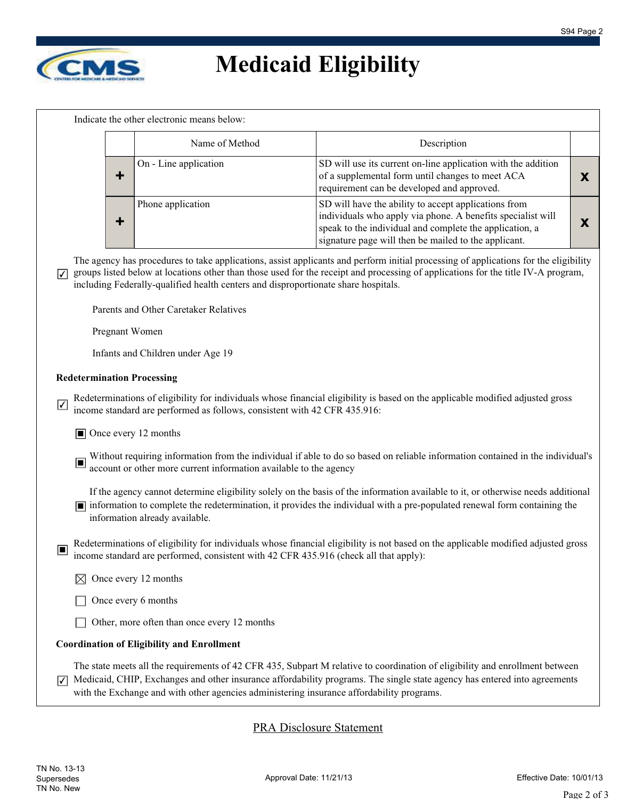

# **Medicaid Eligibility**

Indicate the other electronic means below:

| Name of Method        | Description                                                                                                                                                                                                                            |  |
|-----------------------|----------------------------------------------------------------------------------------------------------------------------------------------------------------------------------------------------------------------------------------|--|
| On - Line application | SD will use its current on-line application with the addition<br>of a supplemental form until changes to meet ACA<br>requirement can be developed and approved.                                                                        |  |
| Phone application     | SD will have the ability to accept applications from<br>individuals who apply via phone. A benefits specialist will<br>speak to the individual and complete the application, a<br>signature page will then be mailed to the applicant. |  |

The agency has procedures to take applications, assist applicants and perform initial processing of applications for the eligibility groups listed below at locations other than those used for the receipt and processing of applications for the title IV-A program, including Federally-qualified health centers and disproportionate share hospitals.  $|\mathcal{V}|$ 

Parents and Other Caretaker Relatives

Pregnant Women

Infants and Children under Age 19

#### **Redetermination Processing**

Redeterminations of eligibility for individuals whose financial eligibility is based on the applicable modified adjusted gross income standard are performed as follows, consistent with 42 CFR 435.916:

■ Once every 12 months

■ Without requiring information from the individual if able to do so based on reliable information contained in the individual's account or other more current information available to the agency

If the agency cannot determine eligibility solely on the basis of the information available to it, or otherwise needs additional ■ information to complete the redetermination, it provides the individual with a pre-populated renewal form containing the

information already available.

Redeterminations of eligibility for individuals whose financial eligibility is not based on the applicable modified adjusted gross ■ income standard are performed, consistent with 42 CFR 435.916 (check all that apply):

- $\boxtimes$  Once every 12 months
- $\Box$  Once every 6 months

Other, more often than once every 12 months

#### **Coordination of Eligibility and Enrollment**

The state meets all the requirements of 42 CFR 435, Subpart M relative to coordination of eligibility and enrollment between Medicaid, CHIP, Exchanges and other insurance affordability programs. The single state agency has entered into agreements with the Exchange and with other agencies administering insurance affordability programs. ✔

PRA Disclosure Statement